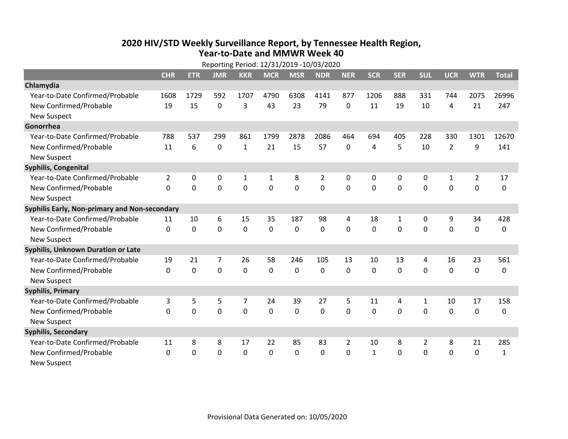## **2020 HIV /STD Weekly Surveillance Report, by Tennessee Health Region, Year‐to‐Date and MMWR Week 40** Reporting Period: 12/31/2019 ‐10/03/2020

|                                               | Reporting Period: 12/31/2019 -10/03/2020 |            |             |                |              |                |            |                |              |             |                |                |                |              |
|-----------------------------------------------|------------------------------------------|------------|-------------|----------------|--------------|----------------|------------|----------------|--------------|-------------|----------------|----------------|----------------|--------------|
|                                               | <b>CHR</b>                               | <b>ETR</b> | <b>JMR</b>  | <b>KKR</b>     | <b>MCR</b>   | <b>MSR</b>     | <b>NDR</b> | <b>NER</b>     | <b>SCR</b>   | <b>SER</b>  | <b>SUL</b>     | <b>UCR</b>     | <b>WTR</b>     | <b>Total</b> |
| Chlamydia                                     |                                          |            |             |                |              |                |            |                |              |             |                |                |                |              |
| Year-to-Date Confirmed/Probable               | 1608                                     | 1729       | 592         | 1707           | 4790         | 6308           | 4141       | 877            | 1206         | 888         | 331            | 744            | 2075           | 26996        |
| New Confirmed/Probable                        | 19                                       | 15         | $\mathbf 0$ | 3              | 43           | 23             | 79         | 0              | 11           | 19          | 10             | 4              | 21             | 247          |
| <b>New Suspect</b>                            |                                          |            |             |                |              |                |            |                |              |             |                |                |                |              |
| Gonorrhea                                     |                                          |            |             |                |              |                |            |                |              |             |                |                |                |              |
| Year-to-Date Confirmed/Probable               | 788                                      | 537        | 299         | 861            | 1799         | 2878           | 2086       | 464            | 694          | 405         | 228            | 330            | 1301           | 12670        |
| New Confirmed/Probable                        | 11                                       | 6          | 0           | $\mathbf{1}$   | 21           | 15             | 57         | 0              | 4            | 5           | 10             | $\overline{2}$ | 9              | 141          |
| <b>New Suspect</b>                            |                                          |            |             |                |              |                |            |                |              |             |                |                |                |              |
| <b>Syphilis, Congenital</b>                   |                                          |            |             |                |              |                |            |                |              |             |                |                |                |              |
| Year-to-Date Confirmed/Probable               | $\overline{2}$                           | 0          | 0           | $\mathbf{1}$   | $\mathbf{1}$ | 8              | 2          | 0              | 0            | 0           | 0              | 1              | $\overline{2}$ | 17           |
| New Confirmed/Probable                        | $\Omega$                                 | 0          | $\mathbf 0$ | 0              | $\mathbf 0$  | $\overline{0}$ | 0          | $\Omega$       | $\Omega$     | 0           | 0              | $\overline{0}$ | $\mathbf 0$    | 0            |
| <b>New Suspect</b>                            |                                          |            |             |                |              |                |            |                |              |             |                |                |                |              |
| Syphilis Early, Non-primary and Non-secondary |                                          |            |             |                |              |                |            |                |              |             |                |                |                |              |
| Year-to-Date Confirmed/Probable               | 11                                       | 10         | 6           | 15             | 35           | 187            | 98         | 4              | 18           | 1           | 0              | 9              | 34             | 428          |
| New Confirmed/Probable                        | 0                                        | 0          | $\mathbf 0$ | 0              | $\mathbf 0$  | $\mathbf 0$    | 0          | $\Omega$       | 0            | 0           | 0              | $\overline{0}$ | $\mathbf 0$    | 0            |
| <b>New Suspect</b>                            |                                          |            |             |                |              |                |            |                |              |             |                |                |                |              |
| Syphilis, Unknown Duration or Late            |                                          |            |             |                |              |                |            |                |              |             |                |                |                |              |
| Year-to-Date Confirmed/Probable               | 19                                       | 21         | 7           | 26             | 58           | 246            | 105        | 13             | 10           | 13          | 4              | 16             | 23             | 561          |
| New Confirmed/Probable                        | $\Omega$                                 | 0          | $\mathbf 0$ | 0              | $\mathbf 0$  | $\mathbf 0$    | 0          | $\Omega$       | 0            | 0           | 0              | 0              | $\mathbf 0$    | 0            |
| <b>New Suspect</b>                            |                                          |            |             |                |              |                |            |                |              |             |                |                |                |              |
| <b>Syphilis, Primary</b>                      |                                          |            |             |                |              |                |            |                |              |             |                |                |                |              |
| Year-to-Date Confirmed/Probable               | 3                                        | 5          | 5           | $\overline{7}$ | 24           | 39             | 27         | 5              | 11           | 4           | 1              | 10             | 17             | 158          |
| New Confirmed/Probable                        | 0                                        | 0          | $\mathbf 0$ | 0              | $\mathbf 0$  | 0              | 0          | $\Omega$       | $\Omega$     | $\mathbf 0$ | $\mathbf 0$    | 0              | $\pmb{0}$      | 0            |
| <b>New Suspect</b>                            |                                          |            |             |                |              |                |            |                |              |             |                |                |                |              |
| <b>Syphilis, Secondary</b>                    |                                          |            |             |                |              |                |            |                |              |             |                |                |                |              |
| Year-to-Date Confirmed/Probable               | 11                                       | 8          | 8           | 17             | 22           | 85             | 83         | $\overline{2}$ | 10           | 8           | $\overline{2}$ | 8              | 21             | 285          |
| New Confirmed/Probable                        | 0                                        | 0          | $\mathbf 0$ | 0              | $\mathbf 0$  | $\mathbf 0$    | 0          | $\Omega$       | $\mathbf{1}$ | $\mathbf 0$ | 0              | $\overline{0}$ | $\mathbf 0$    | $\mathbf{1}$ |
| <b>New Suspect</b>                            |                                          |            |             |                |              |                |            |                |              |             |                |                |                |              |